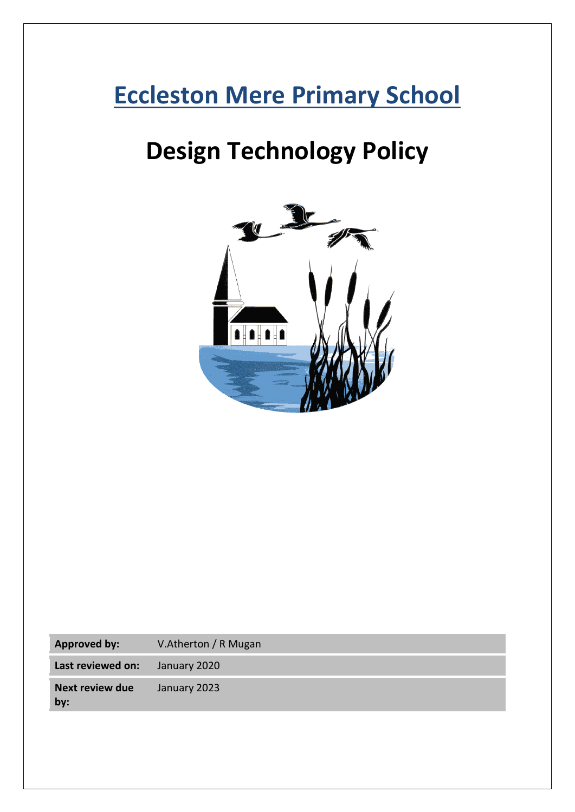# **Eccleston Mere Primary School**

# **Design Technology Policy**



| Approved by:                  | V.Atherton / R Mugan |
|-------------------------------|----------------------|
| Last reviewed on:             | January 2020         |
| <b>Next review due</b><br>by: | January 2023         |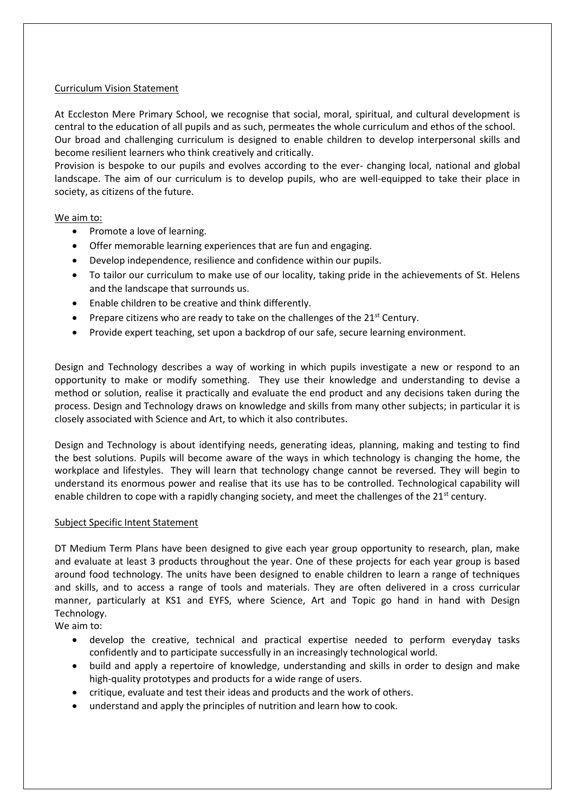#### Curriculum Vision Statement

At Eccleston Mere Primary School, we recognise that social, moral, spiritual, and cultural development is central to the education of all pupils and as such, permeates the whole curriculum and ethos of the school. Our broad and challenging curriculum is designed to enable children to develop interpersonal skills and become resilient learners who think creatively and critically.

Provision is bespoke to our pupils and evolves according to the ever- changing local, national and global landscape. The aim of our curriculum is to develop pupils, who are well-equipped to take their place in society, as citizens of the future.

#### We aim to:

- Promote a love of learning.
- Offer memorable learning experiences that are fun and engaging.
- Develop independence, resilience and confidence within our pupils.
- To tailor our curriculum to make use of our locality, taking pride in the achievements of St. Helens and the landscape that surrounds us.
- Enable children to be creative and think differently.
- Prepare citizens who are ready to take on the challenges of the  $21<sup>st</sup>$  Century.
- Provide expert teaching, set upon a backdrop of our safe, secure learning environment.

Design and Technology describes a way of working in which pupils investigate a new or respond to an opportunity to make or modify something. They use their knowledge and understanding to devise a method or solution, realise it practically and evaluate the end product and any decisions taken during the process. Design and Technology draws on knowledge and skills from many other subjects; in particular it is closely associated with Science and Art, to which it also contributes.

Design and Technology is about identifying needs, generating ideas, planning, making and testing to find the best solutions. Pupils will become aware of the ways in which technology is changing the home, the workplace and lifestyles. They will learn that technology change cannot be reversed. They will begin to understand its enormous power and realise that its use has to be controlled. Technological capability will enable children to cope with a rapidly changing society, and meet the challenges of the  $21^{st}$  century.

#### Subject Specific Intent Statement

DT Medium Term Plans have been designed to give each year group opportunity to research, plan, make and evaluate at least 3 products throughout the year. One of these projects for each year group is based around food technology. The units have been designed to enable children to learn a range of techniques and skills, and to access a range of tools and materials. They are often delivered in a cross curricular manner, particularly at KS1 and EYFS, where Science, Art and Topic go hand in hand with Design Technology.

We aim to:

- develop the creative, technical and practical expertise needed to perform everyday tasks confidently and to participate successfully in an increasingly technological world.
- build and apply a repertoire of knowledge, understanding and skills in order to design and make high-quality prototypes and products for a wide range of users.
- critique, evaluate and test their ideas and products and the work of others.
- understand and apply the principles of nutrition and learn how to cook.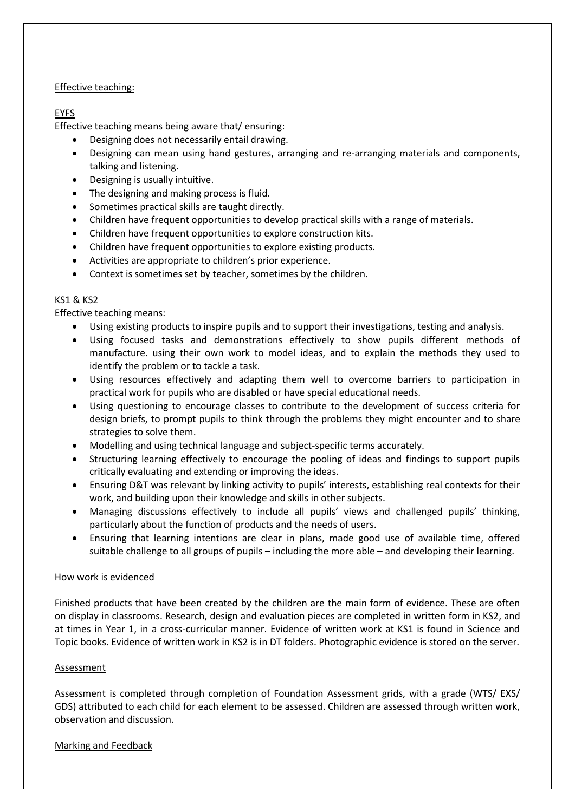#### Effective teaching:

# EYFS

Effective teaching means being aware that/ ensuring:

- Designing does not necessarily entail drawing.
- Designing can mean using hand gestures, arranging and re-arranging materials and components, talking and listening.
- Designing is usually intuitive.
- The designing and making process is fluid.
- Sometimes practical skills are taught directly.
- Children have frequent opportunities to develop practical skills with a range of materials.
- Children have frequent opportunities to explore construction kits.
- Children have frequent opportunities to explore existing products.
- Activities are appropriate to children's prior experience.
- Context is sometimes set by teacher, sometimes by the children.

# KS1 & KS2

Effective teaching means:

- Using existing products to inspire pupils and to support their investigations, testing and analysis.
- Using focused tasks and demonstrations effectively to show pupils different methods of manufacture. using their own work to model ideas, and to explain the methods they used to identify the problem or to tackle a task.
- Using resources effectively and adapting them well to overcome barriers to participation in practical work for pupils who are disabled or have special educational needs.
- Using questioning to encourage classes to contribute to the development of success criteria for design briefs, to prompt pupils to think through the problems they might encounter and to share strategies to solve them.
- Modelling and using technical language and subject-specific terms accurately.
- Structuring learning effectively to encourage the pooling of ideas and findings to support pupils critically evaluating and extending or improving the ideas.
- Ensuring D&T was relevant by linking activity to pupils' interests, establishing real contexts for their work, and building upon their knowledge and skills in other subjects.
- Managing discussions effectively to include all pupils' views and challenged pupils' thinking, particularly about the function of products and the needs of users.
- Ensuring that learning intentions are clear in plans, made good use of available time, offered suitable challenge to all groups of pupils – including the more able – and developing their learning.

# How work is evidenced

Finished products that have been created by the children are the main form of evidence. These are often on display in classrooms. Research, design and evaluation pieces are completed in written form in KS2, and at times in Year 1, in a cross-curricular manner. Evidence of written work at KS1 is found in Science and Topic books. Evidence of written work in KS2 is in DT folders. Photographic evidence is stored on the server.

# Assessment

Assessment is completed through completion of Foundation Assessment grids, with a grade (WTS/ EXS/ GDS) attributed to each child for each element to be assessed. Children are assessed through written work, observation and discussion.

# Marking and Feedback